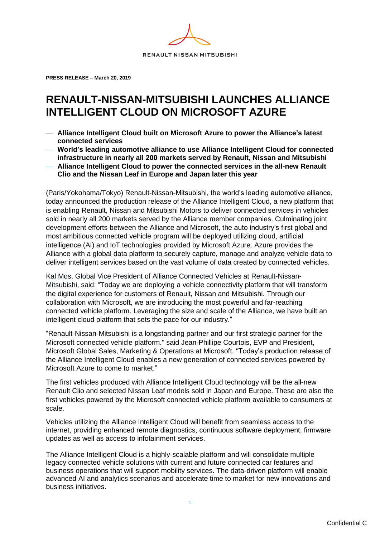

**PRESS RELEASE – March 20, 2019** 

# **RENAULT-NISSAN-MITSUBISHI LAUNCHES ALLIANCE INTELLIGENT CLOUD ON MICROSOFT AZURE**

- ⎯ **Alliance Intelligent Cloud built on Microsoft Azure to power the Alliance's latest connected services**
- ⎯ **World's leading automotive alliance to use Alliance Intelligent Cloud for connected infrastructure in nearly all 200 markets served by Renault, Nissan and Mitsubishi**  ⎯ **Alliance Intelligent Cloud to power the connected services in the all-new Renault Clio and the Nissan Leaf in Europe and Japan later this year**

(Paris/Yokohama/Tokyo) Renault-Nissan-Mitsubishi, the world's leading automotive alliance, today announced the production release of the Alliance Intelligent Cloud, a new platform that is enabling Renault, Nissan and Mitsubishi Motors to deliver connected services in vehicles sold in nearly all 200 markets served by the Alliance member companies. Culminating joint development efforts between the Alliance and Microsoft, the auto industry's first global and most ambitious connected vehicle program will be deployed utilizing cloud, artificial intelligence (AI) and IoT technologies provided by Microsoft Azure. Azure provides the Alliance with a global data platform to securely capture, manage and analyze vehicle data to deliver intelligent services based on the vast volume of data created by connected vehicles.

Kal Mos, Global Vice President of Alliance Connected Vehicles at Renault-Nissan-Mitsubishi, said: "Today we are deploying a vehicle connectivity platform that will transform the digital experience for customers of Renault, Nissan and Mitsubishi. Through our collaboration with Microsoft, we are introducing the most powerful and far-reaching connected vehicle platform. Leveraging the size and scale of the Alliance, we have built an intelligent cloud platform that sets the pace for our industry."

"Renault-Nissan-Mitsubishi is a longstanding partner and our first strategic partner for the Microsoft connected vehicle platform." said Jean-Phillipe Courtois, EVP and President, Microsoft Global Sales, Marketing & Operations at Microsoft. "Today's production release of the Alliance Intelligent Cloud enables a new generation of connected services powered by Microsoft Azure to come to market."

The first vehicles produced with Alliance Intelligent Cloud technology will be the all-new Renault Clio and selected Nissan Leaf models sold in Japan and Europe. These are also the first vehicles powered by the Microsoft connected vehicle platform available to consumers at scale.

Vehicles utilizing the Alliance Intelligent Cloud will benefit from seamless access to the internet, providing enhanced remote diagnostics, continuous software deployment, firmware updates as well as access to infotainment services.

The Alliance Intelligent Cloud is a highly-scalable platform and will consolidate multiple legacy connected vehicle solutions with current and future connected car features and business operations that will support mobility services. The data-driven platform will enable advanced AI and analytics scenarios and accelerate time to market for new innovations and business initiatives.